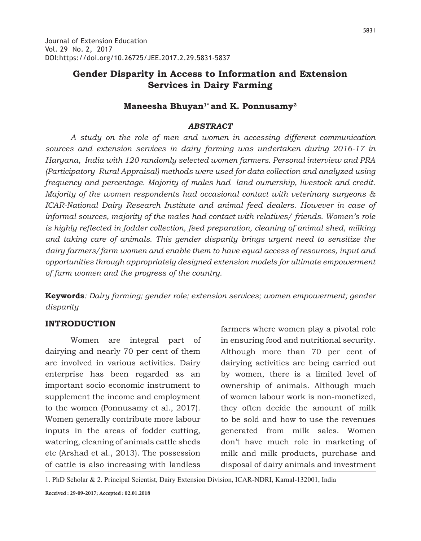# **Gender Disparity in Access to Information and Extension Services in Dairy Farming**

## **Maneesha Bhuyan1\* and K. Ponnusamy2**

#### *ABSTRACT*

*A study on the role of men and women in accessing different communication sources and extension services in dairy farming was undertaken during 2016-17 in Haryana, India with 120 randomly selected women farmers. Personal interview and PRA (Participatory Rural Appraisal) methods were used for data collection and analyzed using frequency and percentage. Majority of males had land ownership, livestock and credit. Majority of the women respondents had occasional contact with veterinary surgeons & ICAR-National Dairy Research Institute and animal feed dealers. However in case of informal sources, majority of the males had contact with relatives/ friends. Women's role is highly reflected in fodder collection, feed preparation, cleaning of animal shed, milking and taking care of animals. This gender disparity brings urgent need to sensitize the dairy farmers/farm women and enable them to have equal access of resources, input and opportunities through appropriately designed extension models for ultimate empowerment of farm women and the progress of the country.*

**Keywords***: Dairy farming; gender role; extension services; women empowerment; gender disparity*

### **INTRODUCTION**

Women are integral part of dairying and nearly 70 per cent of them are involved in various activities. Dairy enterprise has been regarded as an important socio economic instrument to supplement the income and employment to the women (Ponnusamy et al., 2017). Women generally contribute more labour inputs in the areas of fodder cutting, watering, cleaning of animals cattle sheds etc (Arshad et al., 2013). The possession of cattle is also increasing with landless

farmers where women play a pivotal role in ensuring food and nutritional security. Although more than 70 per cent of dairying activities are being carried out by women, there is a limited level of ownership of animals. Although much of women labour work is non-monetized, they often decide the amount of milk to be sold and how to use the revenues generated from milk sales. Women don't have much role in marketing of milk and milk products, purchase and disposal of dairy animals and investment

1. PhD Scholar & 2. Principal Scientist, Dairy Extension Division, ICAR-NDRI, Karnal-132001, India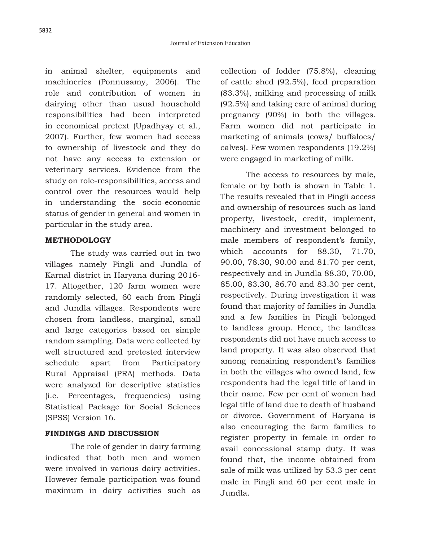in animal shelter, equipments and machineries (Ponnusamy, 2006). The role and contribution of women in dairying other than usual household responsibilities had been interpreted in economical pretext (Upadhyay et al., 2007). Further, few women had access to ownership of livestock and they do not have any access to extension or veterinary services. Evidence from the study on role-responsibilities, access and control over the resources would help in understanding the socio-economic status of gender in general and women in particular in the study area.

### **METHODOLOGY**

The study was carried out in two villages namely Pingli and Jundla of Karnal district in Haryana during 2016- 17. Altogether, 120 farm women were randomly selected, 60 each from Pingli and Jundla villages. Respondents were chosen from landless, marginal, small and large categories based on simple random sampling. Data were collected by well structured and pretested interview schedule apart from Participatory Rural Appraisal (PRA) methods. Data were analyzed for descriptive statistics (i.e. Percentages, frequencies) using Statistical Package for Social Sciences (SPSS) Version 16.

### **FINDINGS AND DISCUSSION**

The role of gender in dairy farming indicated that both men and women were involved in various dairy activities. However female participation was found maximum in dairy activities such as collection of fodder (75.8%), cleaning of cattle shed (92.5%), feed preparation (83.3%), milking and processing of milk (92.5%) and taking care of animal during pregnancy (90%) in both the villages. Farm women did not participate in marketing of animals (cows/ buffaloes/ calves). Few women respondents (19.2%) were engaged in marketing of milk.

The access to resources by male, female or by both is shown in Table 1. The results revealed that in Pingli access and ownership of resources such as land property, livestock, credit, implement, machinery and investment belonged to male members of respondent's family, which accounts for 88.30, 71.70, 90.00, 78.30, 90.00 and 81.70 per cent, respectively and in Jundla 88.30, 70.00, 85.00, 83.30, 86.70 and 83.30 per cent, respectively. During investigation it was found that majority of families in Jundla and a few families in Pingli belonged to landless group. Hence, the landless respondents did not have much access to land property. It was also observed that among remaining respondent's families in both the villages who owned land, few respondents had the legal title of land in their name. Few per cent of women had legal title of land due to death of husband or divorce. Government of Haryana is also encouraging the farm families to register property in female in order to avail concessional stamp duty. It was found that, the income obtained from sale of milk was utilized by 53.3 per cent male in Pingli and 60 per cent male in Jundla.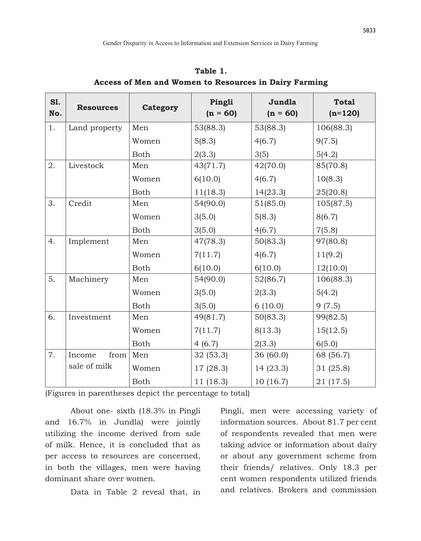| <b>S1.</b><br>No. | <b>Resources</b> | Category    | Pingli<br>$(n = 60)$ | Jundla<br>$(n = 60)$ | <b>Total</b><br>$(n=120)$ |
|-------------------|------------------|-------------|----------------------|----------------------|---------------------------|
| 1.                | Land property    | Men         | 53(88.3)             | 53(88.3)             | 106(88.3)                 |
|                   |                  | Women       | 5(8.3)               | 4(6.7)               | 9(7.5)                    |
|                   |                  | <b>Both</b> | 2(3.3)               | 3(5)                 | 5(4.2)                    |
| 2.                | Livestock        | Men         | 43(71.7)             | 42(70.0)             | 85(70.8)                  |
|                   |                  | Women       | 6(10.0)              | 4(6.7)               | 10(8.3)                   |
|                   |                  | <b>Both</b> | 11(18.3)             | 14(23.3)             | 25(20.8)                  |
| 3.                | Credit           | Men         | 54(90.0)             | 51(85.0)             | 105(87.5)                 |
|                   |                  | Women       | 3(5.0)               | 5(8.3)               | 8(6.7)                    |
|                   |                  | <b>Both</b> | 3(5.0)               | 4(6.7)               | 7(5.8)                    |
| 4.                | Implement        | Men         | 47(78.3)             | 50(83.3)             | 97(80.8)                  |
|                   |                  | Women       | 7(11.7)              | 4(6.7)               | 11(9.2)                   |
|                   |                  | <b>Both</b> | 6(10.0)              | 6(10.0)              | 12(10.0)                  |
| 5.                | Machinery        | Men         | 54(90.0)             | 52(86.7)             | 106(88.3)                 |
|                   |                  | Women       | 3(5.0)               | 2(3.3)               | 5(4.2)                    |
|                   |                  | <b>Both</b> | 3(5.0)               | 6(10.0)              | 9(7.5)                    |
| 6.                | Investment       | Men         | 49(81.7)             | 50(83.3)             | 99(82.5)                  |
|                   |                  | Women       | 7(11.7)              | 8(13.3)              | 15(12.5)                  |
|                   |                  | <b>Both</b> | 4(6.7)               | 2(3.3)               | 6(5.0)                    |
| 7.                | from<br>Income   | Men         | 32(53.3)             | 36 (60.0)            | 68 (56.7)                 |
|                   | sale of milk     | Women       | 17(28.3)             | 14(23.3)             | 31 (25.8)                 |
|                   |                  | <b>Both</b> | 11 (18.3)            | 10(16.7)             | 21 (17.5)                 |

**Table 1. Access of Men and Women to Resources in Dairy Farming**

(Figures in parentheses depict the percentage to total)

About one- sixth (18.3% in Pingli and 16.7% in Jundla) were jointly utilizing the income derived from sale of milk. Hence, it is concluded that as per access to resources are concerned, in both the villages, men were having dominant share over women.

Data in Table 2 reveal that, in

Pingli, men were accessing variety of information sources. About 81.7 per cent of respondents revealed that men were taking advice or information about dairy or about any government scheme from their friends/ relatives. Only 18.3 per cent women respondents utilized friends and relatives. Brokers and commission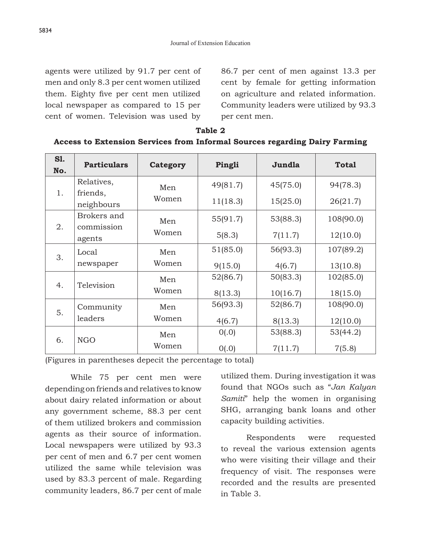agents were utilized by 91.7 per cent of men and only 8.3 per cent women utilized them. Eighty five per cent men utilized local newspaper as compared to 15 per cent of women. Television was used by

86.7 per cent of men against 13.3 per cent by female for getting information on agriculture and related information. Community leaders were utilized by 93.3 per cent men.

| <b>S1.</b><br>No. | <b>Particulars</b> | Category | Pingli   | Jundla   | <b>Total</b> |
|-------------------|--------------------|----------|----------|----------|--------------|
| 1.                | Relatives,         | Men      | 49(81.7) | 45(75.0) | 94(78.3)     |
|                   | friends,           | Women    | 11(18.3) | 15(25.0) | 26(21.7)     |
|                   | neighbours         |          |          |          |              |
|                   | Brokers and        | Men      | 55(91.7) | 53(88.3) | 108(90.0)    |
| 2.                | commission         | Women    |          | 7(11.7)  | 12(10.0)     |
|                   | agents             |          | 5(8.3)   |          |              |
|                   | Local              | Men      | 51(85.0) | 56(93.3) | 107(89.2)    |
| 3.                | newspaper          | Women    | 9(15.0)  | 4(6.7)   | 13(10.8)     |
| 4.                | Television         | Men      | 52(86.7) | 50(83.3) | 102(85.0)    |
|                   |                    | Women    | 8(13.3)  | 10(16.7) | 18(15.0)     |
| 5.                | Community          | Men      | 56(93.3) | 52(86.7) | 108(90.0)    |
|                   | leaders            | Women    | 4(6.7)   | 8(13.3)  | 12(10.0)     |
| 6.                |                    | Men      | O(.0)    | 53(88.3) | 53(44.2)     |
|                   | <b>NGO</b>         | Women    | O(.0)    | 7(11.7)  | 7(5.8)       |

|  |                                                                            | Table 2 |  |  |
|--|----------------------------------------------------------------------------|---------|--|--|
|  | Access to Extension Services from Informal Sources regarding Dairy Farming |         |  |  |

(Figures in parentheses depecit the percentage to total)

While 75 per cent men were depending on friends and relatives to know about dairy related information or about any government scheme, 88.3 per cent of them utilized brokers and commission agents as their source of information. Local newspapers were utilized by 93.3 per cent of men and 6.7 per cent women utilized the same while television was used by 83.3 percent of male. Regarding community leaders, 86.7 per cent of male

utilized them. During investigation it was found that NGOs such as "*Jan Kalyan Samiti*" help the women in organising SHG, arranging bank loans and other capacity building activities.

Respondents were requested to reveal the various extension agents who were visiting their village and their frequency of visit. The responses were recorded and the results are presented in Table 3.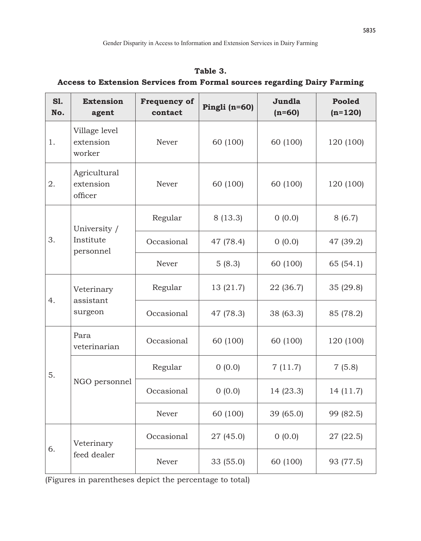| <b>S1.</b><br>No. | <b>Extension</b><br>agent            | <b>Frequency of</b><br>contact | Pingli $(n=60)$                                                                                                     | Jundla<br>$(n=60)$                                                  | <b>Pooled</b><br>$(n=120)$ |  |
|-------------------|--------------------------------------|--------------------------------|---------------------------------------------------------------------------------------------------------------------|---------------------------------------------------------------------|----------------------------|--|
| 1.                | Village level<br>extension<br>worker | Never                          | 60 (100)                                                                                                            | 60 (100)                                                            | 120 (100)                  |  |
| 2.                | Agricultural<br>extension<br>officer | Never                          | 60 (100)                                                                                                            | 60 (100)                                                            | 120 (100)                  |  |
|                   | University /                         | Regular                        | 8(13.3)                                                                                                             | 0(0.0)<br>0(0.0)<br>60 (100)<br>22 (36.7)<br>38 (63.3)              | 8(6.7)                     |  |
| 3.                | Institute<br>personnel               | Occasional                     | 47 (78.4)<br>5(8.3)<br>13 (21.7)<br>47 (78.3)<br>60 (100)<br>0(0.0)<br>0(0.0)<br>60 (100)<br>27 (45.0)<br>33 (55.0) |                                                                     | 47 (39.2)                  |  |
|                   |                                      | Never                          |                                                                                                                     |                                                                     | 65(54.1)                   |  |
|                   | Veterinary<br>assistant              | Regular                        |                                                                                                                     |                                                                     | 35 (29.8)                  |  |
| 4.                | surgeon                              | Occasional                     |                                                                                                                     | 60 (100)<br>7(11.7)<br>14 (23.3)<br>39 (65.0)<br>0(0.0)<br>60 (100) | 85 (78.2)                  |  |
|                   | Para<br>veterinarian                 | Occasional                     |                                                                                                                     |                                                                     | 120 (100)                  |  |
| 5.                |                                      | Regular                        |                                                                                                                     |                                                                     | 7(5.8)<br>14 (11.7)        |  |
|                   | NGO personnel                        | Occasional                     |                                                                                                                     |                                                                     |                            |  |
|                   |                                      | Never                          |                                                                                                                     |                                                                     | 99 (82.5)                  |  |
| 6.                | Veterinary<br>feed dealer            | Occasional                     |                                                                                                                     |                                                                     | 27 (22.5)                  |  |
|                   |                                      | Never                          |                                                                                                                     |                                                                     | 93 (77.5)                  |  |

**Table 3. Access to Extension Services from Formal sources regarding Dairy Farming**

(Figures in parentheses depict the percentage to total)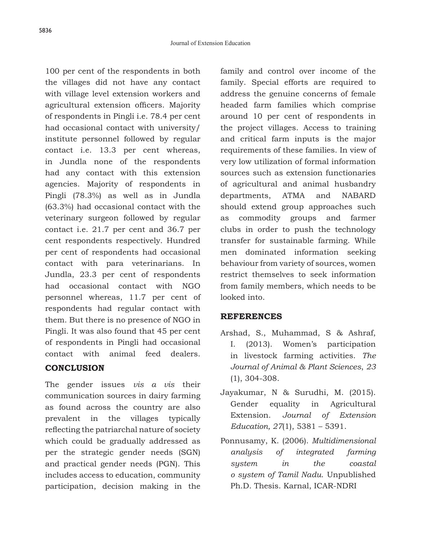100 per cent of the respondents in both the villages did not have any contact with village level extension workers and agricultural extension officers. Majority of respondents in Pingli i.e. 78.4 per cent had occasional contact with university/ institute personnel followed by regular contact i.e. 13.3 per cent whereas, in Jundla none of the respondents had any contact with this extension agencies. Majority of respondents in Pingli (78.3%) as well as in Jundla (63.3%) had occasional contact with the veterinary surgeon followed by regular contact i.e. 21.7 per cent and 36.7 per cent respondents respectively. Hundred per cent of respondents had occasional contact with para veterinarians. In Jundla, 23.3 per cent of respondents had occasional contact with NGO personnel whereas, 11.7 per cent of respondents had regular contact with them. But there is no presence of NGO in Pingli. It was also found that 45 per cent of respondents in Pingli had occasional contact with animal feed dealers.

### **CONCLUSION**

The gender issues *vis a vis* their communication sources in dairy farming as found across the country are also prevalent in the villages typically reflecting the patriarchal nature of society which could be gradually addressed as per the strategic gender needs (SGN) and practical gender needs (PGN). This includes access to education, community participation, decision making in the family and control over income of the family. Special efforts are required to address the genuine concerns of female headed farm families which comprise around 10 per cent of respondents in the project villages. Access to training and critical farm inputs is the major requirements of these families. In view of very low utilization of formal information sources such as extension functionaries of agricultural and animal husbandry departments, ATMA and NABARD should extend group approaches such as commodity groups and farmer clubs in order to push the technology transfer for sustainable farming. While men dominated information seeking behaviour from variety of sources, women restrict themselves to seek information from family members, which needs to be looked into.

## **REFERENCES**

- Arshad, S., Muhammad, S & Ashraf, I. (2013). Women's participation in livestock farming activities. *The Journal of Animal & Plant Sciences*, *23* (1), 304-308.
- Jayakumar, N & Surudhi, M. (2015). Gender equality in Agricultural Extension. *Journal of Extension Education, 27*(1), 5381 – 5391.
- Ponnusamy, K. (2006). *Multidimensional analysis of integrated farming system in the coastal o system of Tamil Nadu*. Unpublished Ph.D. Thesis. Karnal, ICAR-NDRI